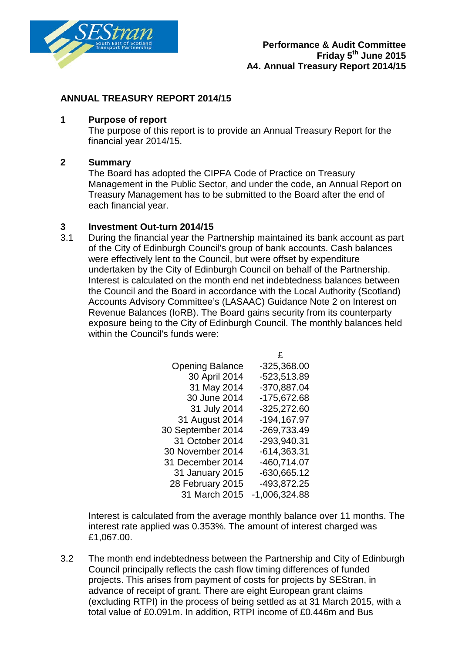

### **ANNUAL TREASURY REPORT 2014/15**

#### **1 Purpose of report**

The purpose of this report is to provide an Annual Treasury Report for the financial year 2014/15.

#### **2 Summary**

The Board has adopted the CIPFA Code of Practice on Treasury Management in the Public Sector, and under the code, an Annual Report on Treasury Management has to be submitted to the Board after the end of each financial year.

## **3 Investment Out-turn 2014/15**

3.1 During the financial year the Partnership maintained its bank account as part of the City of Edinburgh Council's group of bank accounts. Cash balances were effectively lent to the Council, but were offset by expenditure undertaken by the City of Edinburgh Council on behalf of the Partnership. Interest is calculated on the month end net indebtedness balances between the Council and the Board in accordance with the Local Authority (Scotland) Accounts Advisory Committee's (LASAAC) Guidance Note 2 on Interest on Revenue Balances (IoRB). The Board gains security from its counterparty exposure being to the City of Edinburgh Council. The monthly balances held within the Council's funds were:

| <b>Opening Balance</b> | $-325,368.00$   |
|------------------------|-----------------|
| 30 April 2014          | -523,513.89     |
| 31 May 2014            | -370,887.04     |
| 30 June 2014           | -175,672.68     |
| 31 July 2014           | $-325,272.60$   |
| 31 August 2014         | -194,167.97     |
| 30 September 2014      | -269,733.49     |
| 31 October 2014        | -293,940.31     |
| 30 November 2014       | $-614,363.31$   |
| 31 December 2014       | -460,714.07     |
| 31 January 2015        | $-630,665.12$   |
| 28 February 2015       | -493,872.25     |
| 31 March 2015          | $-1,006,324.88$ |

 $\overline{C}$ 

Interest is calculated from the average monthly balance over 11 months. The interest rate applied was 0.353%. The amount of interest charged was £1,067.00.

3.2 The month end indebtedness between the Partnership and City of Edinburgh Council principally reflects the cash flow timing differences of funded projects. This arises from payment of costs for projects by SEStran, in advance of receipt of grant. There are eight European grant claims (excluding RTPI) in the process of being settled as at 31 March 2015, with a total value of £0.091m. In addition, RTPI income of £0.446m and Bus